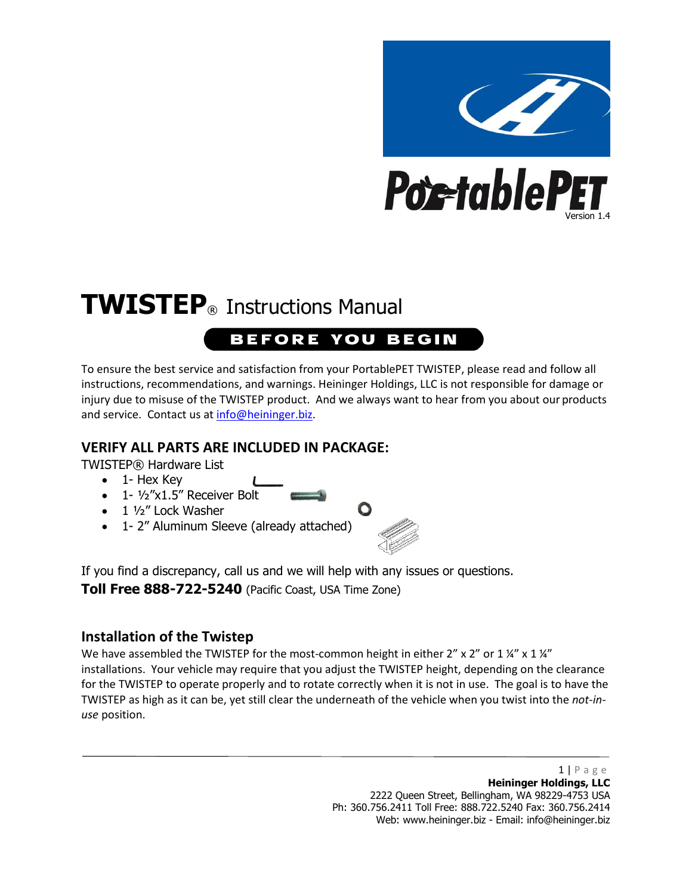

# **TWISTEP**® Instructions Manual

### **BEFORE YOU BEGIN**

To ensure the best service and satisfaction from your PortablePET TWISTEP, please read and follow all instructions, recommendations, and warnings. Heininger Holdings, LLC is not responsible for damage or injury due to misuse of the TWISTEP product. And we always want to hear from you about our products and service. Contact us a[t info@heininger.biz.](mailto:info@heininger.biz)

#### **VERIFY ALL PARTS ARE INCLUDED IN PACKAGE:**

TWISTEP® Hardware List

- 1- Hex Key
- $\bullet$  1-  $\frac{1}{2}$ "x1.5" Receiver Bolt
- $\bullet$  1  $\frac{1}{2}$ " Lock Washer
- 1- 2" Aluminum Sleeve (already attached)



If you find a discrepancy, call us and we will help with any issues or questions.

**Toll Free 888-722-5240** (Pacific Coast, USA Time Zone)

#### **Installation of the Twistep**

We have assembled the TWISTEP for the most-common height in either  $2'' \times 2''$  or 1  $\frac{1}{4}'' \times 1 \frac{1}{4}''$ installations. Your vehicle may require that you adjust the TWISTEP height, depending on the clearance for the TWISTEP to operate properly and to rotate correctly when it is not in use. The goal is to have the TWISTEP as high as it can be, yet still clear the underneath of the vehicle when you twist into the *not-inuse* position.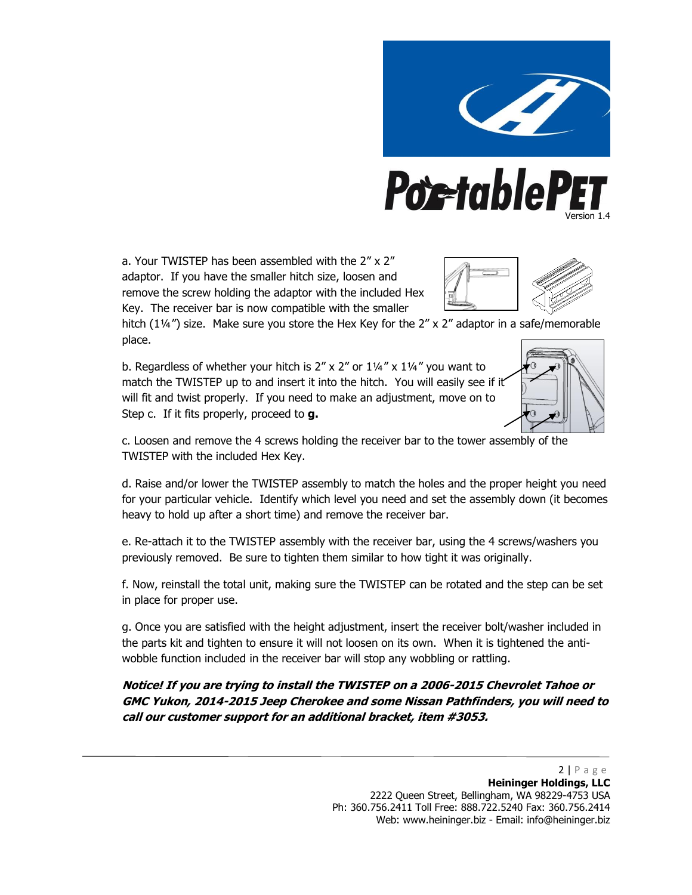

a. Your TWISTEP has been assembled with the 2" x 2" adaptor. If you have the smaller hitch size, loosen and remove the screw holding the adaptor with the included Hex Key. The receiver bar is now compatible with the smaller



hitch (1¼") size. Make sure you store the Hex Key for the 2" x 2" adaptor in a safe/memorable place.

b. Regardless of whether your hitch is  $2'' \times 2''$  or  $1\frac{1}{4}$  x  $1\frac{1}{4}$  you want to match the TWISTEP up to and insert it into the hitch. You will easily see if it will fit and twist properly. If you need to make an adjustment, move on to Step c. If it fits properly, proceed to **g.**



c. Loosen and remove the 4 screws holding the receiver bar to the tower assembly of the TWISTEP with the included Hex Key.

d. Raise and/or lower the TWISTEP assembly to match the holes and the proper height you need for your particular vehicle. Identify which level you need and set the assembly down (it becomes heavy to hold up after a short time) and remove the receiver bar.

e. Re-attach it to the TWISTEP assembly with the receiver bar, using the 4 screws/washers you previously removed. Be sure to tighten them similar to how tight it was originally.

f. Now, reinstall the total unit, making sure the TWISTEP can be rotated and the step can be set in place for proper use.

g. Once you are satisfied with the height adjustment, insert the receiver bolt/washer included in the parts kit and tighten to ensure it will not loosen on its own. When it is tightened the antiwobble function included in the receiver bar will stop any wobbling or rattling.

#### **Notice! If you are trying to install the TWISTEP on a 2006-2015 Chevrolet Tahoe or GMC Yukon, 2014-2015 Jeep Cherokee and some Nissan Pathfinders, you will need to call our customer support for an additional bracket, item #3053.**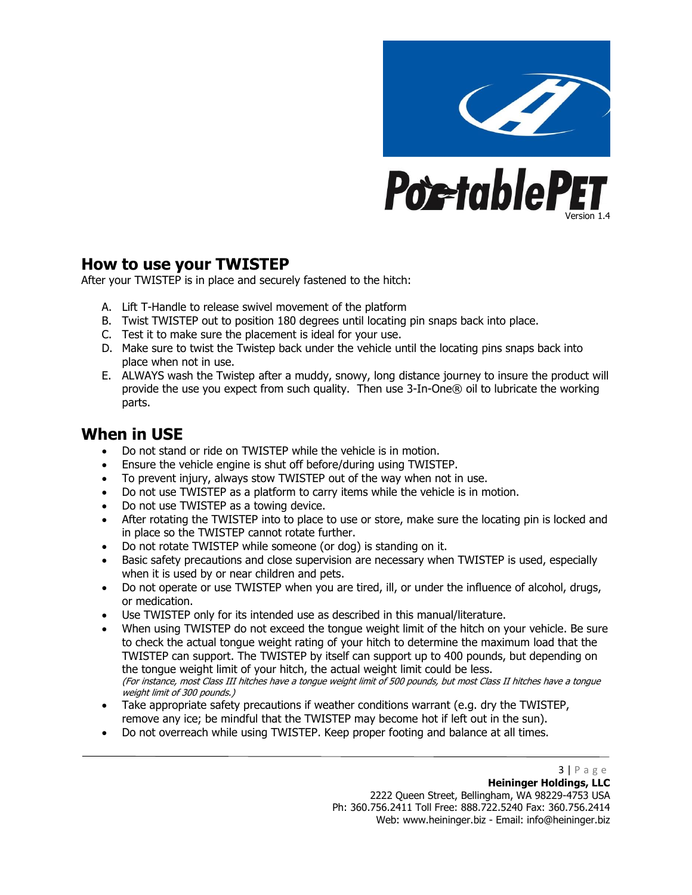

#### **How to use your TWISTEP**

After your TWISTEP is in place and securely fastened to the hitch:

- A. Lift T-Handle to release swivel movement of the platform
- B. Twist TWISTEP out to position 180 degrees until locating pin snaps back into place.
- C. Test it to make sure the placement is ideal for your use.
- D. Make sure to twist the Twistep back under the vehicle until the locating pins snaps back into place when not in use.
- E. ALWAYS wash the Twistep after a muddy, snowy, long distance journey to insure the product will provide the use you expect from such quality. Then use 3-In-One® oil to lubricate the working parts.

#### **When in USE**

- Do not stand or ride on TWISTEP while the vehicle is in motion.
- Ensure the vehicle engine is shut off before/during using TWISTEP.
- To prevent injury, always stow TWISTEP out of the way when not in use.
- Do not use TWISTEP as a platform to carry items while the vehicle is in motion.
- Do not use TWISTEP as a towing device.
- After rotating the TWISTEP into to place to use or store, make sure the locating pin is locked and in place so the TWISTEP cannot rotate further.
- Do not rotate TWISTEP while someone (or dog) is standing on it.
- Basic safety precautions and close supervision are necessary when TWISTEP is used, especially when it is used by or near children and pets.
- Do not operate or use TWISTEP when you are tired, ill, or under the influence of alcohol, drugs, or medication.
- Use TWISTEP only for its intended use as described in this manual/literature.
- When using TWISTEP do not exceed the tongue weight limit of the hitch on your vehicle. Be sure to check the actual tongue weight rating of your hitch to determine the maximum load that the TWISTEP can support. The TWISTEP by itself can support up to 400 pounds, but depending on the tongue weight limit of your hitch, the actual weight limit could be less. (For instance, most Class III hitches have a tongue weight limit of 500 pounds, but most Class II hitches have a tongue weight limit of 300 pounds.)
- Take appropriate safety precautions if weather conditions warrant (e.g. dry the TWISTEP, remove any ice; be mindful that the TWISTEP may become hot if left out in the sun).
- Do not overreach while using TWISTEP. Keep proper footing and balance at all times.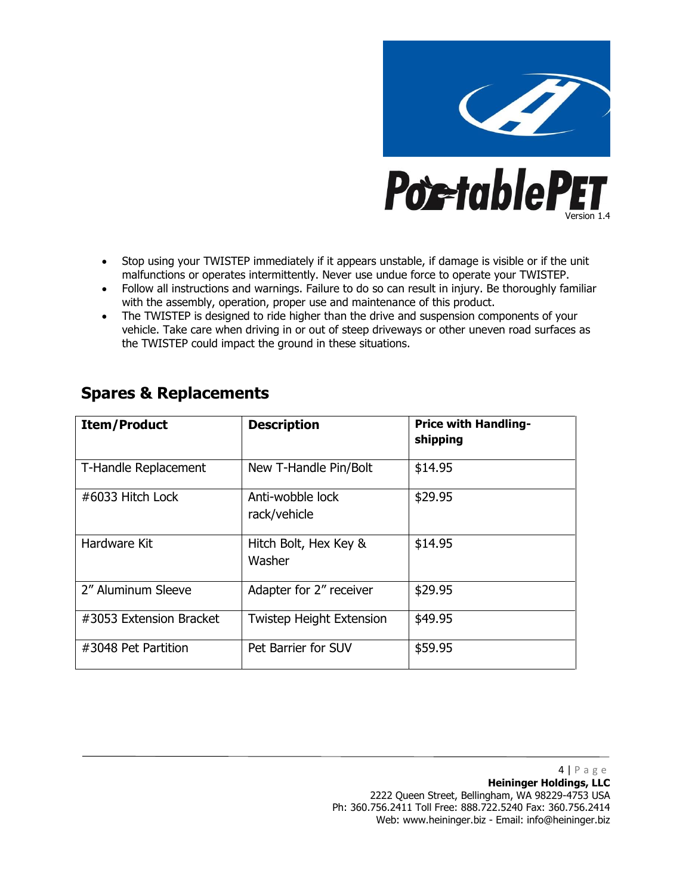

- Stop using your TWISTEP immediately if it appears unstable, if damage is visible or if the unit malfunctions or operates intermittently. Never use undue force to operate your TWISTEP.
- Follow all instructions and warnings. Failure to do so can result in injury. Be thoroughly familiar with the assembly, operation, proper use and maintenance of this product.
- The TWISTEP is designed to ride higher than the drive and suspension components of your vehicle. Take care when driving in or out of steep driveways or other uneven road surfaces as the TWISTEP could impact the ground in these situations.

| <b>Item/Product</b>     | <b>Description</b>               | <b>Price with Handling-</b><br>shipping |
|-------------------------|----------------------------------|-----------------------------------------|
| T-Handle Replacement    | New T-Handle Pin/Bolt            | \$14.95                                 |
| #6033 Hitch Lock        | Anti-wobble lock<br>rack/vehicle | \$29.95                                 |
| Hardware Kit            | Hitch Bolt, Hex Key &<br>Washer  | \$14.95                                 |
| 2" Aluminum Sleeve      | Adapter for 2" receiver          | \$29.95                                 |
| #3053 Extension Bracket | <b>Twistep Height Extension</b>  | \$49.95                                 |
| #3048 Pet Partition     | Pet Barrier for SUV              | \$59.95                                 |

#### **Spares & Replacements**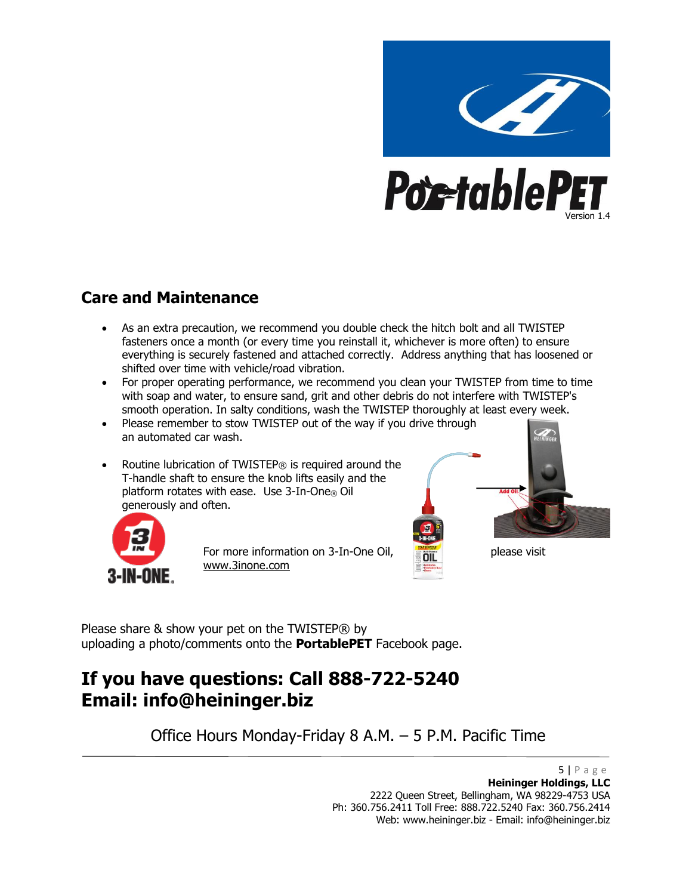

#### **Care and Maintenance**

- As an extra precaution, we recommend you double check the hitch bolt and all TWISTEP fasteners once a month (or every time you reinstall it, whichever is more often) to ensure everything is securely fastened and attached correctly. Address anything that has loosened or shifted over time with vehicle/road vibration.
- For proper operating performance, we recommend you clean your TWISTEP from time to time with soap and water, to ensure sand, grit and other debris do not interfere with TWISTEP's smooth operation. In salty conditions, wash the TWISTEP thoroughly at least every week.
- Please remember to stow TWISTEP out of the way if you drive through an automated car wash.
- Routine lubrication of TWISTEP® is required around the T-handle shaft to ensure the knob lifts easily and the platform rotates with ease. Use 3-In-One® Oil generously and often.





For more information on 3-In-One Oil, please visit www.3inone.com

Please share & show your pet on the TWISTEP® by uploading a photo/comments onto the **PortablePET** Facebook page.

## **If you have questions: Call 888-722-5240 Email: info@heininger.biz**

Office Hours Monday-Friday 8 A.M. – 5 P.M. Pacific Time